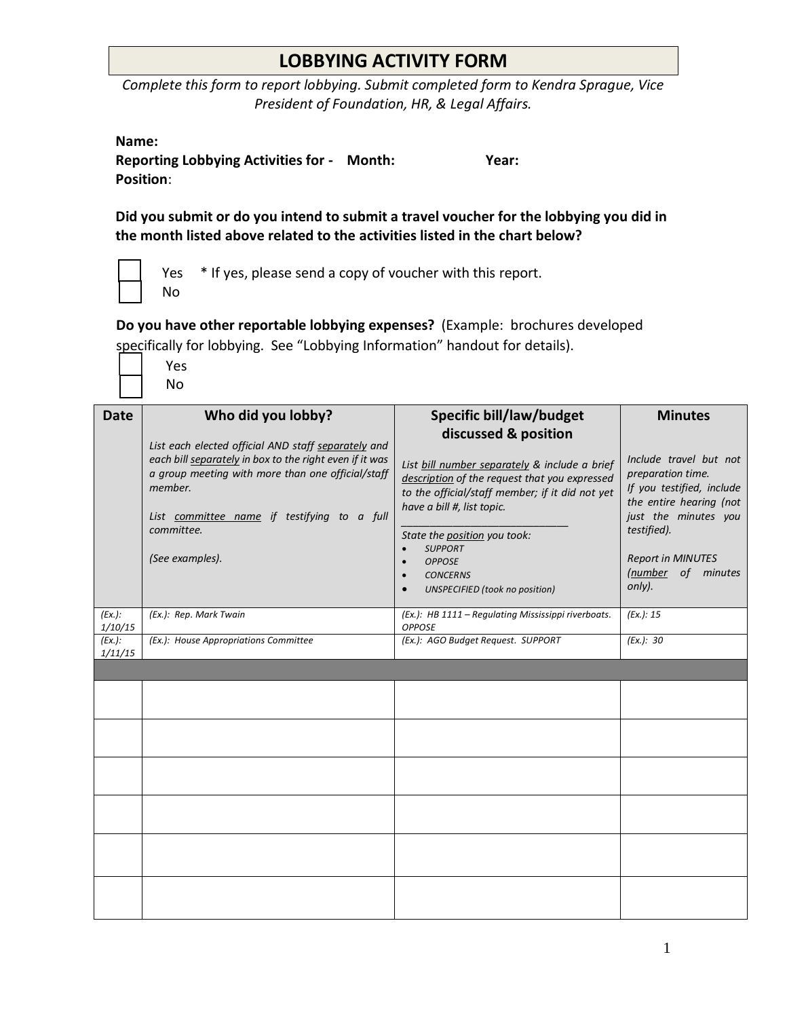## **LOBBYING ACTIVITY FORM**

*Complete this form to report lobbying. Submit completed form to Kendra Sprague, Vice President of Foundation, HR, & Legal Affairs.*

| Name:                                                                                                                                                                     | <b>Reporting Lobbying Activities for - Month:</b><br>Position:                                                                                                                                                                                                                       | Year:                                                                                                                                                                                                                                                                                                                                                                     |                                                                                                                                                                                                                          |  |  |
|---------------------------------------------------------------------------------------------------------------------------------------------------------------------------|--------------------------------------------------------------------------------------------------------------------------------------------------------------------------------------------------------------------------------------------------------------------------------------|---------------------------------------------------------------------------------------------------------------------------------------------------------------------------------------------------------------------------------------------------------------------------------------------------------------------------------------------------------------------------|--------------------------------------------------------------------------------------------------------------------------------------------------------------------------------------------------------------------------|--|--|
| Did you submit or do you intend to submit a travel voucher for the lobbying you did in<br>the month listed above related to the activities listed in the chart below?     |                                                                                                                                                                                                                                                                                      |                                                                                                                                                                                                                                                                                                                                                                           |                                                                                                                                                                                                                          |  |  |
| * If yes, please send a copy of voucher with this report.<br>Yes<br>No                                                                                                    |                                                                                                                                                                                                                                                                                      |                                                                                                                                                                                                                                                                                                                                                                           |                                                                                                                                                                                                                          |  |  |
| Do you have other reportable lobbying expenses? (Example: brochures developed<br>specifically for lobbying. See "Lobbying Information" handout for details).<br>Yes<br>No |                                                                                                                                                                                                                                                                                      |                                                                                                                                                                                                                                                                                                                                                                           |                                                                                                                                                                                                                          |  |  |
| <b>Date</b>                                                                                                                                                               | Who did you lobby?<br>List each elected official AND staff separately and<br>each bill separately in box to the right even if it was<br>a group meeting with more than one official/staff<br>member.<br>List committee name if testifying to a full<br>committee.<br>(See examples). | <b>Specific bill/law/budget</b><br>discussed & position<br>List bill number separately & include a brief<br>description of the request that you expressed<br>to the official/staff member; if it did not yet<br>have a bill #, list topic.<br>State the position you took:<br><b>SUPPORT</b><br><b>OPPOSE</b><br><b>CONCERNS</b><br><b>UNSPECIFIED</b> (took no position) | <b>Minutes</b><br>Include travel but not<br>preparation time.<br>If you testified, include<br>the entire hearing (not<br>just the minutes you<br>testified).<br><b>Report in MINUTES</b><br>(number of minutes<br>only). |  |  |
| (Ex.):<br><i>1/10/15</i>                                                                                                                                                  | (Ex.): Rep. Mark Twain                                                                                                                                                                                                                                                               | (Ex.): HB 1111 - Regulating Mississippi riverboats.<br><b>OPPOSE</b>                                                                                                                                                                                                                                                                                                      | (EX.): 15                                                                                                                                                                                                                |  |  |
| (Ex.):<br><i>1/11/15</i>                                                                                                                                                  | (Ex.): House Appropriations Committee                                                                                                                                                                                                                                                | (Ex.): AGO Budget Request. SUPPORT                                                                                                                                                                                                                                                                                                                                        | (EX.): 30                                                                                                                                                                                                                |  |  |
|                                                                                                                                                                           |                                                                                                                                                                                                                                                                                      |                                                                                                                                                                                                                                                                                                                                                                           |                                                                                                                                                                                                                          |  |  |
|                                                                                                                                                                           |                                                                                                                                                                                                                                                                                      |                                                                                                                                                                                                                                                                                                                                                                           |                                                                                                                                                                                                                          |  |  |
|                                                                                                                                                                           |                                                                                                                                                                                                                                                                                      |                                                                                                                                                                                                                                                                                                                                                                           |                                                                                                                                                                                                                          |  |  |
|                                                                                                                                                                           |                                                                                                                                                                                                                                                                                      |                                                                                                                                                                                                                                                                                                                                                                           |                                                                                                                                                                                                                          |  |  |